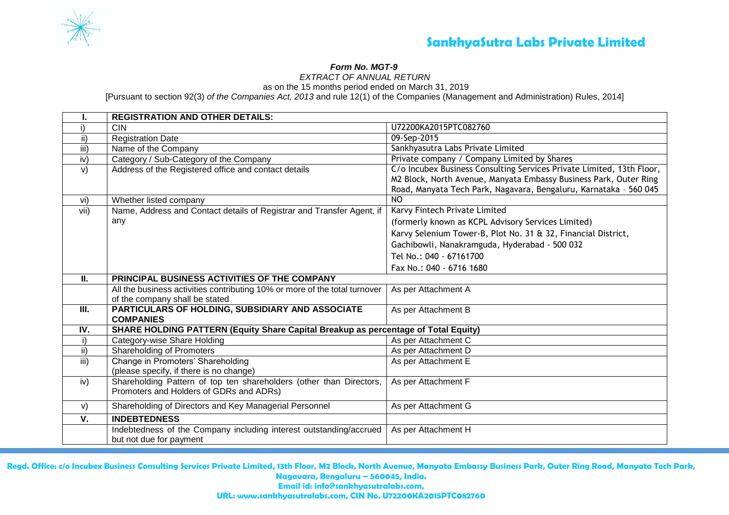

# *Form No. MGT-9*

*EXTRACT OF ANNUAL RETURN* 

as on the 15 months period ended on March 31, 2019

[Pursuant to section 92(3) *of the Companies Act, 2013* and rule 12(1) of the Companies (Management and Administration) Rules, 2014]

|      | <b>REGISTRATION AND OTHER DETAILS:</b>                                                                         |                                                                                                                                                                                                                 |
|------|----------------------------------------------------------------------------------------------------------------|-----------------------------------------------------------------------------------------------------------------------------------------------------------------------------------------------------------------|
|      | <b>CIN</b>                                                                                                     | U72200KA2015PTC082760                                                                                                                                                                                           |
| ii)  | <b>Registration Date</b>                                                                                       | 09-Sep-2015                                                                                                                                                                                                     |
| iii) | Name of the Company                                                                                            | Sankhyasutra Labs Private Limited                                                                                                                                                                               |
| iv)  | Category / Sub-Category of the Company                                                                         | Private company / Company Limited by Shares                                                                                                                                                                     |
| V)   | Address of the Registered office and contact details                                                           | C/o Incubex Business Consulting Services Private Limited, 13th Floor,<br>M2 Block, North Avenue, Manyata Embassy Business Park, Outer Ring<br>Road, Manyata Tech Park, Nagavara, Bengaluru, Karnataka - 560 045 |
| vi)  | Whether listed company                                                                                         | N <sub>O</sub>                                                                                                                                                                                                  |
| vii) | Name, Address and Contact details of Registrar and Transfer Agent, if                                          | Karvy Fintech Private Limited                                                                                                                                                                                   |
|      | any                                                                                                            | (formerly known as KCPL Advisory Services Limited)                                                                                                                                                              |
|      |                                                                                                                | Karvy Selenium Tower-B, Plot No. 31 & 32, Financial District,                                                                                                                                                   |
|      |                                                                                                                | Gachibowli, Nanakramguda, Hyderabad - 500 032                                                                                                                                                                   |
|      |                                                                                                                | Tel No.: 040 - 67161700                                                                                                                                                                                         |
|      |                                                                                                                | Fax No.: 040 - 6716 1680                                                                                                                                                                                        |
| II.  | PRINCIPAL BUSINESS ACTIVITIES OF THE COMPANY                                                                   |                                                                                                                                                                                                                 |
|      | All the business activities contributing 10% or more of the total turnover<br>of the company shall be stated   | As per Attachment A                                                                                                                                                                                             |
| Ш.   | PARTICULARS OF HOLDING, SUBSIDIARY AND ASSOCIATE<br><b>COMPANIES</b>                                           | As per Attachment B                                                                                                                                                                                             |
| IV.  | SHARE HOLDING PATTERN (Equity Share Capital Breakup as percentage of Total Equity)                             |                                                                                                                                                                                                                 |
| i)   | Category-wise Share Holding                                                                                    | As per Attachment C                                                                                                                                                                                             |
| ii)  | <b>Shareholding of Promoters</b>                                                                               | As per Attachment D                                                                                                                                                                                             |
| iii) | Change in Promoters' Shareholding                                                                              | As per Attachment E                                                                                                                                                                                             |
|      | (please specify, if there is no change)                                                                        |                                                                                                                                                                                                                 |
| iv)  | Shareholding Pattern of top ten shareholders (other than Directors,<br>Promoters and Holders of GDRs and ADRs) | As per Attachment F                                                                                                                                                                                             |
| V)   | Shareholding of Directors and Key Managerial Personnel                                                         | As per Attachment G                                                                                                                                                                                             |
| V.   | <b>INDEBTEDNESS</b>                                                                                            |                                                                                                                                                                                                                 |
|      | Indebtedness of the Company including interest outstanding/accrued<br>but not due for payment                  | As per Attachment H                                                                                                                                                                                             |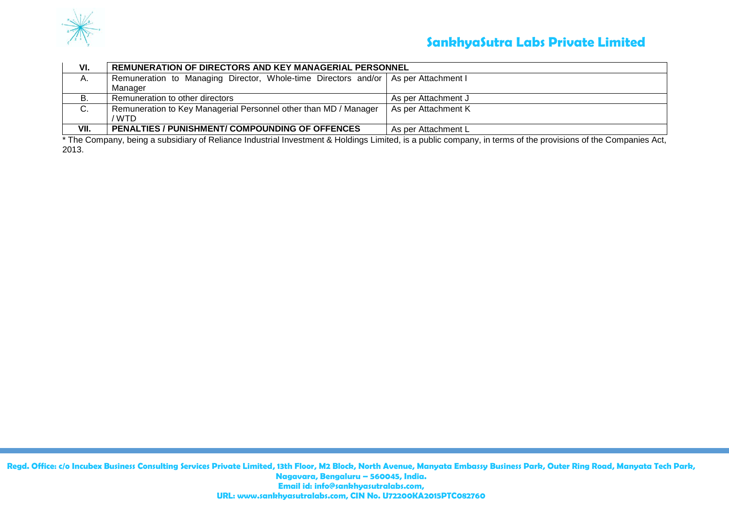

# **SankhyaSutra Labs Private Limited**

| VI.  | <b>REMUNERATION OF DIRECTORS AND KEY MANAGERIAL PERSONNEL</b>                        |                     |  |  |  |  |  |  |
|------|--------------------------------------------------------------------------------------|---------------------|--|--|--|--|--|--|
| А.   | Remuneration to Managing Director, Whole-time Directors and/or   As per Attachment I |                     |  |  |  |  |  |  |
|      | Manager                                                                              |                     |  |  |  |  |  |  |
| В.   | Remuneration to other directors                                                      | As per Attachment J |  |  |  |  |  |  |
| C.   | Remuneration to Key Managerial Personnel other than MD / Manager<br>/ WTD            | As per Attachment K |  |  |  |  |  |  |
| VII. | PENALTIES / PUNISHMENT/ COMPOUNDING OF OFFENCES                                      | As per Attachment L |  |  |  |  |  |  |

\* The Company, being a subsidiary of Reliance Industrial Investment & Holdings Limited, is a public company, in terms of the provisions of the Companies Act, 2013.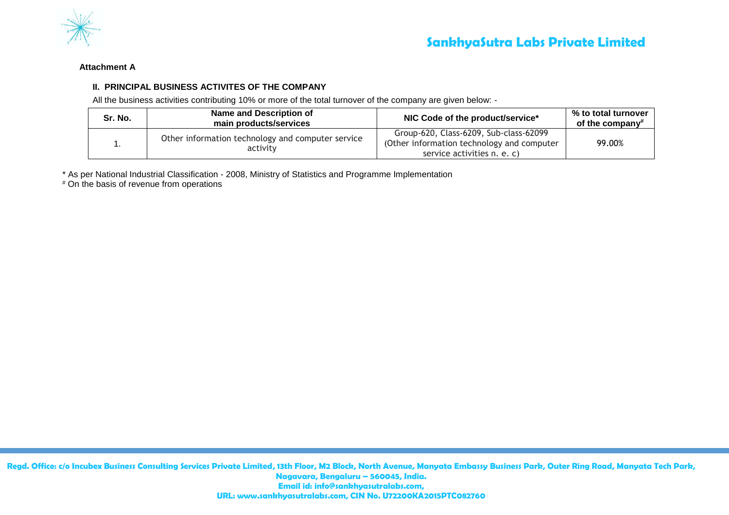

### **Attachment A**

## **II. PRINCIPAL BUSINESS ACTIVITES OF THE COMPANY**

All the business activities contributing 10% or more of the total turnover of the company are given below: -

| Sr. No. | <b>Name and Description of</b><br>main products/services      | NIC Code of the product/service*                                                                                    | % to total turnover<br>of the company# |
|---------|---------------------------------------------------------------|---------------------------------------------------------------------------------------------------------------------|----------------------------------------|
|         | Other information technology and computer service<br>activity | Group-620, Class-6209, Sub-class-62099<br>(Other information technology and computer<br>service activities n. e. c) | 99.00%                                 |

\* As per National Industrial Classification - 2008, Ministry of Statistics and Programme Implementation

# On the basis of revenue from operations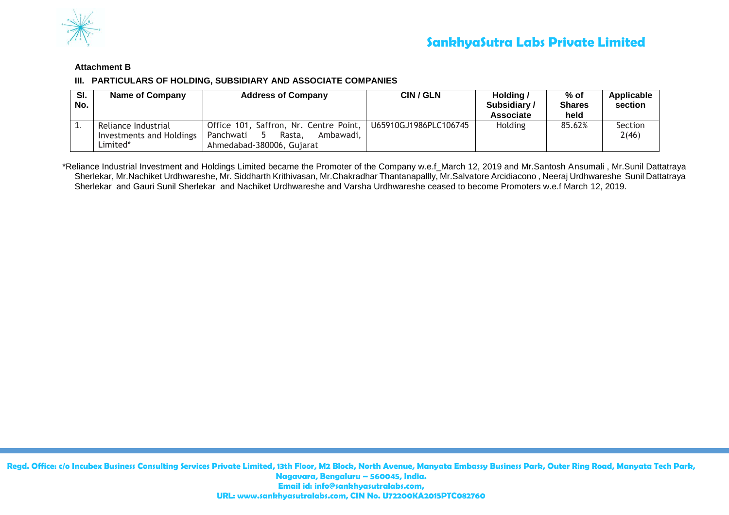

## **Attachment B**

## **III. PARTICULARS OF HOLDING, SUBSIDIARY AND ASSOCIATE COMPANIES**

| SI.<br>No. | Name of Company                                             | <b>Address of Company</b>                                                                               | CIN / GLN             | Holding /<br>Subsidiary/<br>Associate | % of<br><b>Shares</b><br>held | <b>Applicable</b><br>section |
|------------|-------------------------------------------------------------|---------------------------------------------------------------------------------------------------------|-----------------------|---------------------------------------|-------------------------------|------------------------------|
|            | Reliance Industrial<br>Investments and Holdings<br>Limited* | Office 101, Saffron, Nr. Centre Point,<br>Panchwati<br>Ambawadi.<br>Rasta.<br>Ahmedabad-380006, Gujarat | U65910GJ1986PLC106745 | <b>Holding</b>                        | 85.62%                        | <b>Section</b><br>2(46)      |

\*Reliance Industrial Investment and Holdings Limited became the Promoter of the Company w.e.f\_March 12, 2019 and Mr.Santosh Ansumali , Mr.Sunil Dattatraya Sherlekar, Mr.Nachiket Urdhwareshe, Mr. Siddharth Krithivasan, Mr.Chakradhar Thantanapallly, Mr.Salvatore Arcidiacono , Neeraj Urdhwareshe Sunil Dattatraya Sherlekar and Gauri Sunil Sherlekar and Nachiket Urdhwareshe and Varsha Urdhwareshe ceased to become Promoters w.e.f March 12, 2019.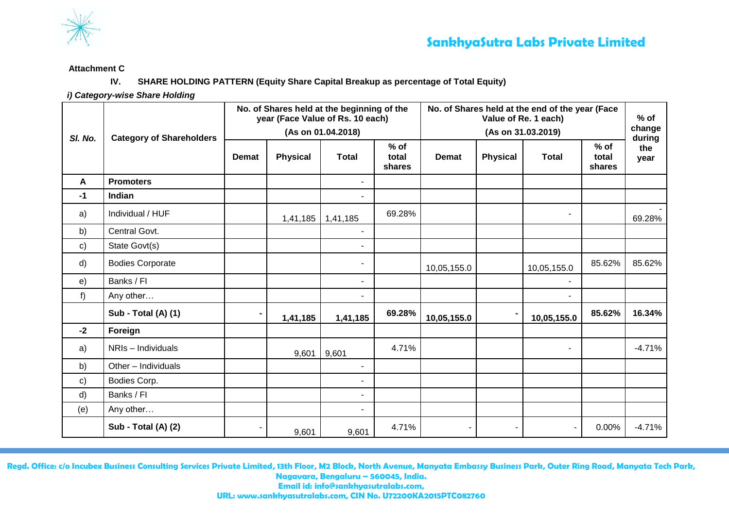

## **Attachment C**

## **IV. SHARE HOLDING PATTERN (Equity Share Capital Breakup as percentage of Total Equity)**

*i) Category-wise Share Holding*

|               | <b>Category of Shareholders</b> | No. of Shares held at the beginning of the<br>year (Face Value of Rs. 10 each)<br>(As on 01.04.2018) |                 |                |                           | No. of Shares held at the end of the year (Face |                  | $%$ of         |                           |             |
|---------------|---------------------------------|------------------------------------------------------------------------------------------------------|-----------------|----------------|---------------------------|-------------------------------------------------|------------------|----------------|---------------------------|-------------|
| SI. No.       |                                 |                                                                                                      |                 |                |                           |                                                 | change<br>during |                |                           |             |
|               |                                 | <b>Demat</b>                                                                                         | <b>Physical</b> | <b>Total</b>   | $%$ of<br>total<br>shares | <b>Demat</b>                                    | <b>Physical</b>  | <b>Total</b>   | $%$ of<br>total<br>shares | the<br>year |
| A             | <b>Promoters</b>                |                                                                                                      |                 |                |                           |                                                 |                  |                |                           |             |
| $-1$          | Indian                          |                                                                                                      |                 | $\blacksquare$ |                           |                                                 |                  |                |                           |             |
| a)            | Individual / HUF                |                                                                                                      | 1,41,185        | 1,41,185       | 69.28%                    |                                                 |                  | $\blacksquare$ |                           | 69.28%      |
| b)            | Central Govt.                   |                                                                                                      |                 | $\blacksquare$ |                           |                                                 |                  |                |                           |             |
| $\mathsf{c})$ | State Govt(s)                   |                                                                                                      |                 | $\blacksquare$ |                           |                                                 |                  |                |                           |             |
| d)            | <b>Bodies Corporate</b>         |                                                                                                      |                 | $\blacksquare$ |                           | 10,05,155.0                                     |                  | 10,05,155.0    | 85.62%                    | 85.62%      |
| e)            | Banks / FI                      |                                                                                                      |                 | $\blacksquare$ |                           |                                                 |                  |                |                           |             |
| $f$ )         | Any other                       |                                                                                                      |                 | $\blacksquare$ |                           |                                                 |                  |                |                           |             |
|               | <b>Sub - Total (A) (1)</b>      | $\blacksquare$                                                                                       | 1,41,185        | 1,41,185       | 69.28%                    | 10,05,155.0                                     | $\blacksquare$   | 10,05,155.0    | 85.62%                    | 16.34%      |
| $-2$          | Foreign                         |                                                                                                      |                 |                |                           |                                                 |                  |                |                           |             |
| a)            | NRIs - Individuals              |                                                                                                      | 9,601           | 9,601          | 4.71%                     |                                                 |                  | $\blacksquare$ |                           | $-4.71%$    |
| b)            | Other - Individuals             |                                                                                                      |                 | $\blacksquare$ |                           |                                                 |                  |                |                           |             |
| $\mathsf{c})$ | Bodies Corp.                    |                                                                                                      |                 | $\blacksquare$ |                           |                                                 |                  |                |                           |             |
| d)            | Banks / Fl                      |                                                                                                      |                 | $\blacksquare$ |                           |                                                 |                  |                |                           |             |
| (e)           | Any other                       |                                                                                                      |                 | $\blacksquare$ |                           |                                                 |                  |                |                           |             |
|               | Sub - Total (A) (2)             |                                                                                                      | 9,601           | 9,601          | 4.71%                     | $\blacksquare$                                  | $\blacksquare$   | $\blacksquare$ | 0.00%                     | $-4.71%$    |

**Regd. Office: c/o Incubex Business Consulting Services Private Limited, 13th Floor, M2 Block, North Avenue, Manyata Embassy Business Park, Outer Ring Road, Manyata Tech Park, Nagavara, Bengaluru – 560045, India. Email id: info@sankhyasutralabs.com,**

**URL: www.sankhyasutralabs.com, CIN No. U72200KA2015PTC082760**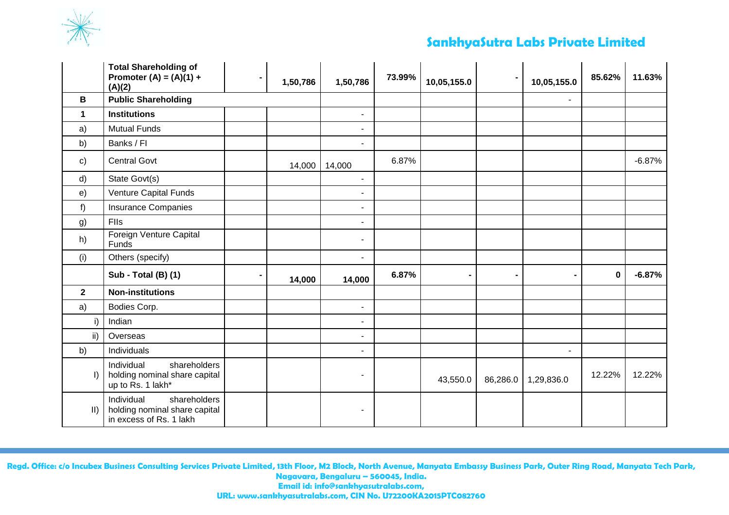

# **SankhyaSutra Labs Private Limited**

|               | <b>Total Shareholding of</b><br>Promoter $(A) = (A)(1) +$<br>(A)(2)                    | 1,50,786 | 1,50,786                 | 73.99% | 10,05,155.0    | $\blacksquare$ | 10,05,155.0    | 85.62%      | 11.63%   |
|---------------|----------------------------------------------------------------------------------------|----------|--------------------------|--------|----------------|----------------|----------------|-------------|----------|
| B             | <b>Public Shareholding</b>                                                             |          |                          |        |                |                | $\blacksquare$ |             |          |
| 1             | <b>Institutions</b>                                                                    |          | $\sim$                   |        |                |                |                |             |          |
| a)            | <b>Mutual Funds</b>                                                                    |          | $\blacksquare$           |        |                |                |                |             |          |
| b)            | Banks / Fl                                                                             |          |                          |        |                |                |                |             |          |
| $\mathbf{c}$  | <b>Central Govt</b>                                                                    | 14,000   | 14,000                   | 6.87%  |                |                |                |             | $-6.87%$ |
| d)            | State Govt(s)                                                                          |          | $\blacksquare$           |        |                |                |                |             |          |
| e)            | Venture Capital Funds                                                                  |          |                          |        |                |                |                |             |          |
| f)            | <b>Insurance Companies</b>                                                             |          | $\blacksquare$           |        |                |                |                |             |          |
| g)            | Flls                                                                                   |          |                          |        |                |                |                |             |          |
| h)            | Foreign Venture Capital<br>Funds                                                       |          | $\overline{\phantom{a}}$ |        |                |                |                |             |          |
| (i)           | Others (specify)                                                                       |          | $\blacksquare$           |        |                |                |                |             |          |
|               | <b>Sub - Total (B) (1)</b>                                                             | 14,000   | 14,000                   | 6.87%  | $\blacksquare$ | $\blacksquare$ | $\blacksquare$ | $\mathbf 0$ | $-6.87%$ |
| $\mathbf{2}$  | <b>Non-institutions</b>                                                                |          |                          |        |                |                |                |             |          |
| a)            | Bodies Corp.                                                                           |          | $\blacksquare$           |        |                |                |                |             |          |
| i)            | Indian                                                                                 |          | $\blacksquare$           |        |                |                |                |             |          |
| ii)           | Overseas                                                                               |          | $\blacksquare$           |        |                |                |                |             |          |
| b)            | Individuals                                                                            |          |                          |        |                |                |                |             |          |
| $\vert$       | Individual<br>shareholders<br>holding nominal share capital<br>up to Rs. 1 lakh*       |          |                          |        | 43,550.0       | 86,286.0       | 1,29,836.0     | 12.22%      | 12.22%   |
| $\vert \vert$ | Individual<br>shareholders<br>holding nominal share capital<br>in excess of Rs. 1 lakh |          | $\overline{\phantom{a}}$ |        |                |                |                |             |          |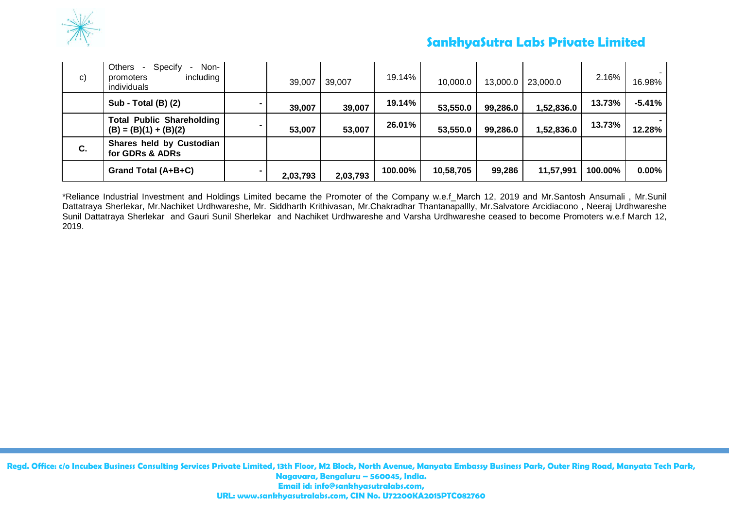

# **SankhyaSutra Labs Private Limited**

| C) | <b>Others</b><br>Non-<br>Specify<br>$\sim$<br>including<br>promoters<br>individuals | 39,007   | 39,007   | 19.14%  | 10,000.0  | 13,000.0 | 23,000.0   | 2.16%   | 16.98%   |
|----|-------------------------------------------------------------------------------------|----------|----------|---------|-----------|----------|------------|---------|----------|
|    | <b>Sub - Total (B) (2)</b>                                                          | 39,007   | 39,007   | 19.14%  | 53,550.0  | 99,286.0 | 1,52,836.0 | 13.73%  | $-5.41%$ |
|    | <b>Total Public Shareholding</b><br>$(B) = (B)(1) + (B)(2)$                         | 53,007   | 53,007   | 26.01%  | 53,550.0  | 99,286.0 | 1,52,836.0 | 13.73%  | 12.28%   |
| C. | Shares held by Custodian<br>for GDRs & ADRs                                         |          |          |         |           |          |            |         |          |
|    | Grand Total (A+B+C)                                                                 | 2,03,793 | 2,03,793 | 100.00% | 10,58,705 | 99,286   | 11,57,991  | 100.00% | $0.00\%$ |

\*Reliance Industrial Investment and Holdings Limited became the Promoter of the Company w.e.f\_March 12, 2019 and Mr.Santosh Ansumali , Mr.Sunil Dattatraya Sherlekar, Mr.Nachiket Urdhwareshe, Mr. Siddharth Krithivasan, Mr.Chakradhar Thantanapallly, Mr.Salvatore Arcidiacono , Neeraj Urdhwareshe Sunil Dattatraya Sherlekar and Gauri Sunil Sherlekar and Nachiket Urdhwareshe and Varsha Urdhwareshe ceased to become Promoters w.e.f March 12, 2019.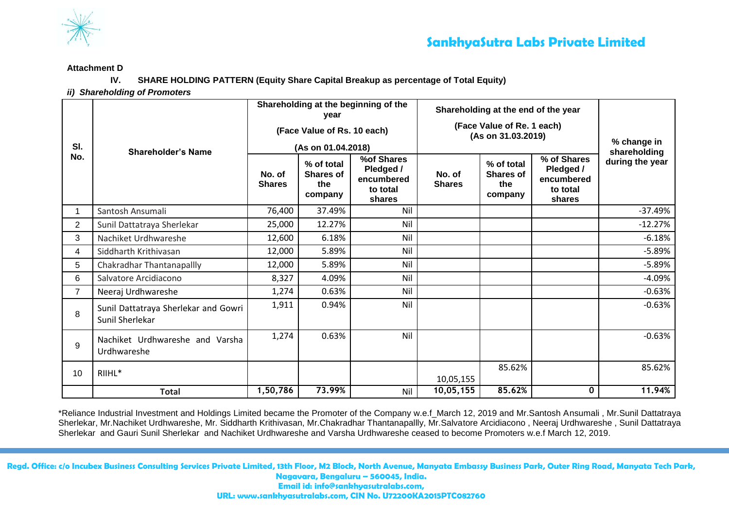

#### **Attachment D**

**IV. SHARE HOLDING PATTERN (Equity Share Capital Breakup as percentage of Total Equity)**

*ii) Shareholding of Promoters* 

| SI.            | <b>Shareholder's Name</b>                               |                         | year<br>(Face Value of Rs. 10 each)<br>(As on 01.04.2018) | Shareholding at the beginning of the                        |                         | Shareholding at the end of the year<br>(Face Value of Re. 1 each)<br>(As on 31.03.2019) | % change in<br>shareholding                                  |                 |
|----------------|---------------------------------------------------------|-------------------------|-----------------------------------------------------------|-------------------------------------------------------------|-------------------------|-----------------------------------------------------------------------------------------|--------------------------------------------------------------|-----------------|
| No.            |                                                         | No. of<br><b>Shares</b> | % of total<br><b>Shares of</b><br>the<br>company          | %of Shares<br>Pledged /<br>encumbered<br>to total<br>shares | No. of<br><b>Shares</b> | % of total<br><b>Shares of</b><br>the<br>company                                        | % of Shares<br>Pledged /<br>encumbered<br>to total<br>shares | during the year |
|                | Santosh Ansumali                                        | 76,400                  | 37.49%                                                    | Nil                                                         |                         |                                                                                         |                                                              | $-37.49%$       |
| $\overline{2}$ | Sunil Dattatraya Sherlekar                              | 25,000                  | 12.27%                                                    | Nil                                                         |                         |                                                                                         |                                                              | $-12.27%$       |
| 3              | Nachiket Urdhwareshe                                    | 12,600                  | 6.18%                                                     | Nil                                                         |                         |                                                                                         |                                                              | $-6.18%$        |
| 4              | Siddharth Krithivasan                                   | 12,000                  | 5.89%                                                     | Nil                                                         |                         |                                                                                         |                                                              | $-5.89%$        |
| 5              | Chakradhar Thantanapallly                               | 12,000                  | 5.89%                                                     | Nil                                                         |                         |                                                                                         |                                                              | $-5.89%$        |
| 6              | Salvatore Arcidiacono                                   | 8,327                   | 4.09%                                                     | Nil                                                         |                         |                                                                                         |                                                              | $-4.09%$        |
| $\overline{7}$ | Neeraj Urdhwareshe                                      | 1,274                   | 0.63%                                                     | Nil                                                         |                         |                                                                                         |                                                              | $-0.63%$        |
| 8              | Sunil Dattatraya Sherlekar and Gowri<br>Sunil Sherlekar | 1,911                   | 0.94%                                                     | Nil                                                         |                         |                                                                                         |                                                              | $-0.63%$        |
| 9              | Nachiket Urdhwareshe and Varsha<br>Urdhwareshe          | 1,274                   | 0.63%                                                     | Nil                                                         |                         |                                                                                         |                                                              | $-0.63%$        |
| 10             | RIIHL*                                                  |                         |                                                           |                                                             | 10,05,155               | 85.62%                                                                                  |                                                              | 85.62%          |
|                | <b>Total</b>                                            | 1,50,786                | 73.99%                                                    | Nil                                                         | 10,05,155               | 85.62%                                                                                  | 0                                                            | 11.94%          |

\*Reliance Industrial Investment and Holdings Limited became the Promoter of the Company w.e.f\_March 12, 2019 and Mr.Santosh Ansumali , Mr.Sunil Dattatraya Sherlekar, Mr.Nachiket Urdhwareshe, Mr. Siddharth Krithivasan, Mr.Chakradhar Thantanapallly, Mr.Salvatore Arcidiacono , Neeraj Urdhwareshe , Sunil Dattatraya Sherlekar and Gauri Sunil Sherlekar and Nachiket Urdhwareshe and Varsha Urdhwareshe ceased to become Promoters w.e.f March 12, 2019.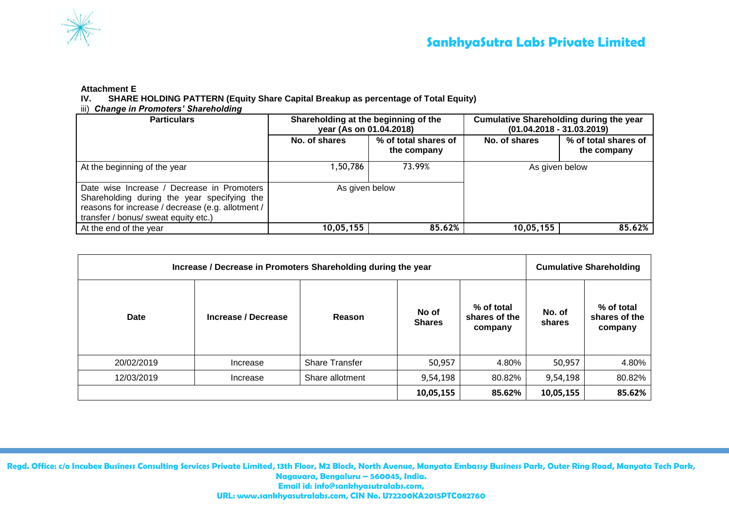

## **Attachment E**

**IV. SHARE HOLDING PATTERN (Equity Share Capital Breakup as percentage of Total Equity)**

## iii) *Change in Promoters' Shareholding*

| <b>Particulars</b>                                                                                                                                                                     | Shareholding at the beginning of the<br>year (As on 01.04.2018) |                                     | <b>Cumulative Shareholding during the year</b><br>$(01.04.2018 - 31.03.2019)$ |                                     |  |  |
|----------------------------------------------------------------------------------------------------------------------------------------------------------------------------------------|-----------------------------------------------------------------|-------------------------------------|-------------------------------------------------------------------------------|-------------------------------------|--|--|
|                                                                                                                                                                                        | No. of shares                                                   | % of total shares of<br>the company | No. of shares                                                                 | % of total shares of<br>the company |  |  |
| At the beginning of the year                                                                                                                                                           | 1,50,786                                                        | 73.99%                              | As given below                                                                |                                     |  |  |
| Date wise Increase / Decrease in Promoters<br>Shareholding during the year specifying the<br>reasons for increase / decrease (e.g. allotment /<br>transfer / bonus/ sweat equity etc.) | As given below                                                  |                                     |                                                                               |                                     |  |  |
| At the end of the year                                                                                                                                                                 | 10,05,155                                                       | 85.62%                              | 10,05,155                                                                     | 85.62%                              |  |  |

| Increase / Decrease in Promoters Shareholding during the year | <b>Cumulative Shareholding</b> |                       |                        |                                        |                  |                                        |
|---------------------------------------------------------------|--------------------------------|-----------------------|------------------------|----------------------------------------|------------------|----------------------------------------|
| <b>Date</b><br>Increase / Decrease                            |                                | Reason                | No of<br><b>Shares</b> | % of total<br>shares of the<br>company | No. of<br>shares | % of total<br>shares of the<br>company |
| 20/02/2019                                                    | Increase                       | <b>Share Transfer</b> | 50,957                 | 4.80%                                  | 50,957           | 4.80%                                  |
| 12/03/2019                                                    | Increase                       | Share allotment       | 9,54,198               | 80.82%                                 | 9,54,198         | 80.82%                                 |
|                                                               |                                |                       | 10,05,155              | 85.62%                                 | 10,05,155        | 85.62%                                 |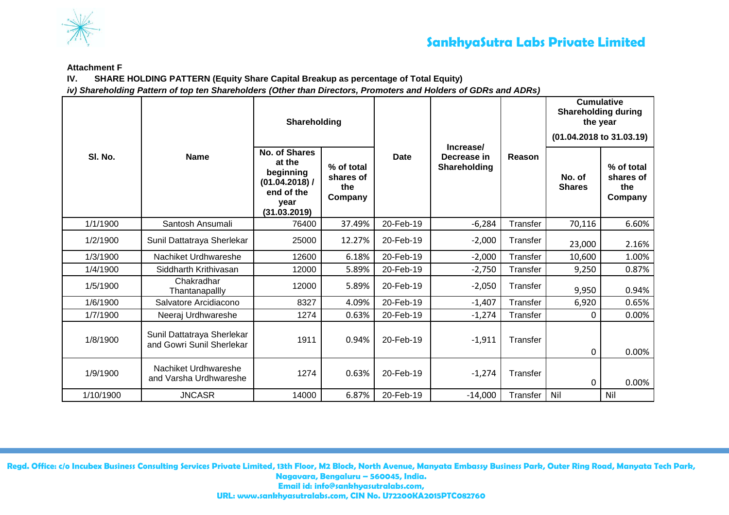

### **Attachment F**

**IV. SHARE HOLDING PATTERN (Equity Share Capital Breakup as percentage of Total Equity)**

*iv) Shareholding Pattern of top ten Shareholders (Other than Directors, Promoters and Holders of GDRs and ADRs)*

|           |                                                         | Shareholding                                                                                          |                                           |             |                                          |          | <b>Cumulative</b><br><b>Shareholding during</b><br>the year<br>(01.04.2018 to 31.03.19) |                                           |  |
|-----------|---------------------------------------------------------|-------------------------------------------------------------------------------------------------------|-------------------------------------------|-------------|------------------------------------------|----------|-----------------------------------------------------------------------------------------|-------------------------------------------|--|
| SI. No.   | <b>Name</b>                                             | <b>No. of Shares</b><br>at the<br>beginning<br>$(01.04.2018)$ /<br>end of the<br>year<br>(31.03.2019) | % of total<br>shares of<br>the<br>Company | <b>Date</b> | Increase/<br>Decrease in<br>Shareholding | Reason   | No. of<br><b>Shares</b>                                                                 | % of total<br>shares of<br>the<br>Company |  |
| 1/1/1900  | Santosh Ansumali                                        | 76400                                                                                                 | 37.49%                                    | 20-Feb-19   | $-6,284$                                 | Transfer | 70,116                                                                                  | 6.60%                                     |  |
| 1/2/1900  | Sunil Dattatraya Sherlekar                              | 25000                                                                                                 | 12.27%                                    | 20-Feb-19   | $-2,000$                                 | Transfer | 23,000                                                                                  | 2.16%                                     |  |
| 1/3/1900  | Nachiket Urdhwareshe                                    | 12600                                                                                                 | 6.18%                                     | 20-Feb-19   | $-2,000$                                 | Transfer | 10,600                                                                                  | 1.00%                                     |  |
| 1/4/1900  | Siddharth Krithivasan                                   | 12000                                                                                                 | 5.89%                                     | 20-Feb-19   | $-2,750$                                 | Transfer | 9,250                                                                                   | 0.87%                                     |  |
| 1/5/1900  | Chakradhar<br>Thantanapallly                            | 12000                                                                                                 | 5.89%                                     | 20-Feb-19   | $-2,050$                                 | Transfer | 9,950                                                                                   | 0.94%                                     |  |
| 1/6/1900  | Salvatore Arcidiacono                                   | 8327                                                                                                  | 4.09%                                     | 20-Feb-19   | $-1,407$                                 | Transfer | 6,920                                                                                   | 0.65%                                     |  |
| 1/7/1900  | Neeraj Urdhwareshe                                      | 1274                                                                                                  | 0.63%                                     | 20-Feb-19   | $-1,274$                                 | Transfer | 0                                                                                       | 0.00%                                     |  |
| 1/8/1900  | Sunil Dattatraya Sherlekar<br>and Gowri Sunil Sherlekar | 1911                                                                                                  | 0.94%                                     | 20-Feb-19   | $-1,911$                                 | Transfer | 0                                                                                       | 0.00%                                     |  |
| 1/9/1900  | Nachiket Urdhwareshe<br>and Varsha Urdhwareshe          | 1274                                                                                                  | 0.63%                                     | 20-Feb-19   | $-1,274$                                 | Transfer | 0                                                                                       | 0.00%                                     |  |
| 1/10/1900 | <b>JNCASR</b>                                           | 14000                                                                                                 | 6.87%                                     | 20-Feb-19   | $-14,000$                                | Transfer | Nil                                                                                     | Nil                                       |  |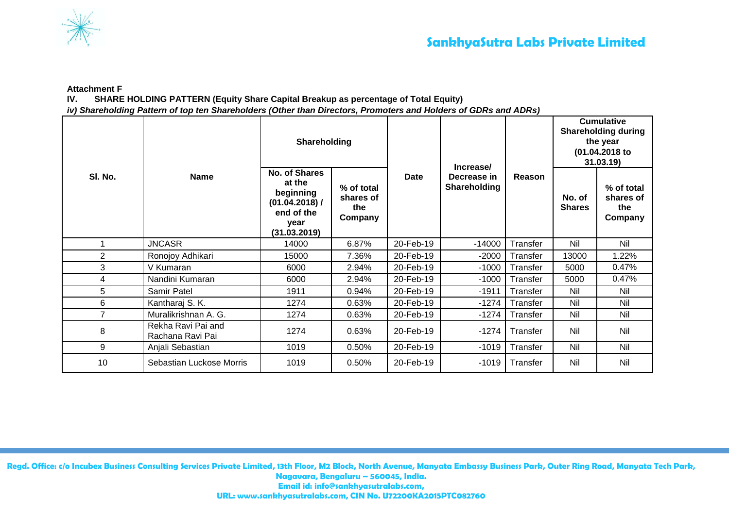

**Attachment F**

**IV. SHARE HOLDING PATTERN (Equity Share Capital Breakup as percentage of Total Equity)**

*iv) Shareholding Pattern of top ten Shareholders (Other than Directors, Promoters and Holders of GDRs and ADRs)*

|                |                                        | Shareholding                                                                                 |                                           |           | Increase/                   |          | <b>Cumulative</b><br><b>Shareholding during</b><br>the year<br>(01.04.2018 to<br>31.03.19 |                                           |
|----------------|----------------------------------------|----------------------------------------------------------------------------------------------|-------------------------------------------|-----------|-----------------------------|----------|-------------------------------------------------------------------------------------------|-------------------------------------------|
| SI. No.        | <b>Name</b>                            | No. of Shares<br>at the<br>beginning<br>(01.04.2018) /<br>end of the<br>year<br>(31.03.2019) | % of total<br>shares of<br>the<br>Company | Date      | Decrease in<br>Shareholding | Reason   | No. of<br><b>Shares</b>                                                                   | % of total<br>shares of<br>the<br>Company |
|                | <b>JNCASR</b>                          | 14000                                                                                        | 6.87%                                     | 20-Feb-19 | $-14000$                    | Transfer | Nil                                                                                       | Nil                                       |
| $\overline{2}$ | Ronojoy Adhikari                       | 15000                                                                                        | 7.36%                                     | 20-Feb-19 | $-2000$                     | Transfer | 13000                                                                                     | 1.22%                                     |
| 3              | V Kumaran                              | 6000                                                                                         | 2.94%                                     | 20-Feb-19 | $-1000$                     | Transfer | 5000                                                                                      | 0.47%                                     |
| 4              | Nandini Kumaran                        | 6000                                                                                         | 2.94%                                     | 20-Feb-19 | $-1000$                     | Transfer | 5000                                                                                      | 0.47%                                     |
| 5              | Samir Patel                            | 1911                                                                                         | 0.94%                                     | 20-Feb-19 | $-1911$                     | Transfer | Nil                                                                                       | Nil                                       |
| 6              | Kantharaj S. K.                        | 1274                                                                                         | 0.63%                                     | 20-Feb-19 | $-1274$                     | Transfer | Nil                                                                                       | Nil                                       |
| $\overline{7}$ | Muralikrishnan A. G.                   | 1274                                                                                         | 0.63%                                     | 20-Feb-19 | $-1274$                     | Transfer | Nil                                                                                       | Nil                                       |
| 8              | Rekha Ravi Pai and<br>Rachana Ravi Pai | 1274                                                                                         | 0.63%                                     | 20-Feb-19 | $-1274$                     | Transfer | Nil                                                                                       | Nil                                       |
| 9              | Anjali Sebastian                       | 1019                                                                                         | 0.50%                                     | 20-Feb-19 | $-1019$                     | Transfer | Nil                                                                                       | Nil                                       |
| 10             | Sebastian Luckose Morris               | 1019                                                                                         | $0.50\%$                                  | 20-Feb-19 | $-1019$                     | Transfer | Nil                                                                                       | Nil                                       |

**Regd. Office: c/o Incubex Business Consulting Services Private Limited, 13th Floor, M2 Block, North Avenue, Manyata Embassy Business Park, Outer Ring Road, Manyata Tech Park, Nagavara, Bengaluru – 560045, India. Email id: info@sankhyasutralabs.com,**

**URL: www.sankhyasutralabs.com, CIN No. U72200KA2015PTC082760**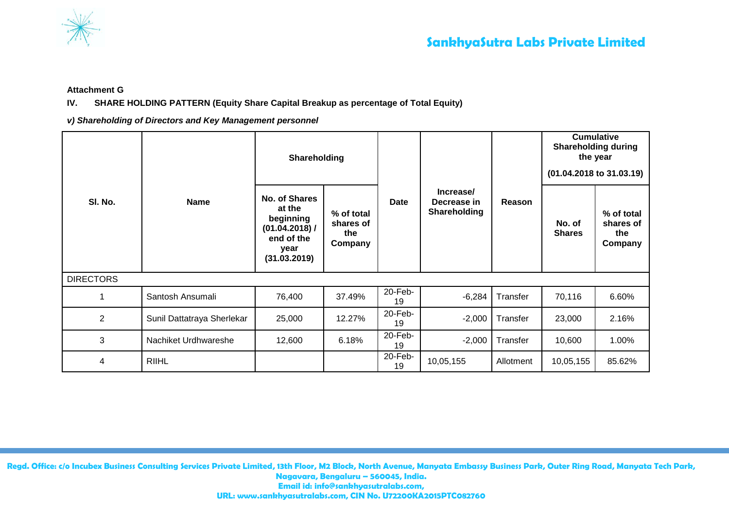

**Attachment G**

## **IV. SHARE HOLDING PATTERN (Equity Share Capital Breakup as percentage of Total Equity)**

*v) Shareholding of Directors and Key Management personnel*

| SI. No.          | <b>Name</b>                | Shareholding                                                                                        |                                           |               |                                          |           | <b>Cumulative</b><br><b>Shareholding during</b><br>the year<br>(01.04.2018 to 31.03.19) |                                           |
|------------------|----------------------------|-----------------------------------------------------------------------------------------------------|-------------------------------------------|---------------|------------------------------------------|-----------|-----------------------------------------------------------------------------------------|-------------------------------------------|
|                  |                            | <b>No. of Shares</b><br>at the<br>beginning<br>(01.04.2018) /<br>end of the<br>year<br>(31.03.2019) | % of total<br>shares of<br>the<br>Company | Date          | Increase/<br>Decrease in<br>Shareholding | Reason    | No. of<br><b>Shares</b>                                                                 | % of total<br>shares of<br>the<br>Company |
| <b>DIRECTORS</b> |                            |                                                                                                     |                                           |               |                                          |           |                                                                                         |                                           |
|                  | Santosh Ansumali           | 76,400                                                                                              | 37.49%                                    | 20-Feb-<br>19 | $-6,284$                                 | Transfer  | 70,116                                                                                  | 6.60%                                     |
| $\overline{2}$   | Sunil Dattatraya Sherlekar | 25,000                                                                                              | 12.27%                                    | 20-Feb-<br>19 | $-2,000$                                 | Transfer  | 23,000                                                                                  | 2.16%                                     |
| 3                | Nachiket Urdhwareshe       | 12,600                                                                                              | 6.18%                                     | 20-Feb-<br>19 | $-2,000$                                 | Transfer  | 10,600                                                                                  | 1.00%                                     |
| 4                | <b>RIIHL</b>               |                                                                                                     |                                           | 20-Feb-<br>19 | 10,05,155                                | Allotment | 10,05,155                                                                               | 85.62%                                    |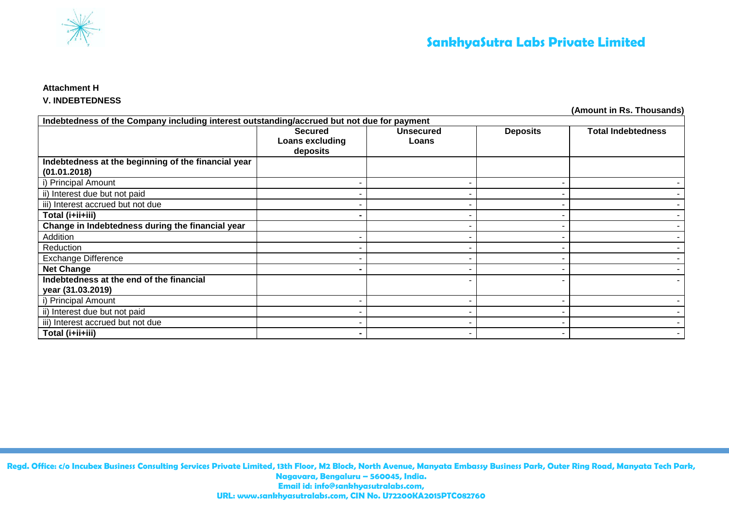

## **Attachment H**

## **V. INDEBTEDNESS**

**(Amount in Rs. Thousands)**

| Indebtedness of the Company including interest outstanding/accrued but not due for payment |                                               |                           |                 |                           |  |  |
|--------------------------------------------------------------------------------------------|-----------------------------------------------|---------------------------|-----------------|---------------------------|--|--|
|                                                                                            | <b>Secured</b><br>Loans excluding<br>deposits | <b>Unsecured</b><br>Loans | <b>Deposits</b> | <b>Total Indebtedness</b> |  |  |
| Indebtedness at the beginning of the financial year<br>(01.01.2018)                        |                                               |                           |                 |                           |  |  |
| i) Principal Amount                                                                        |                                               |                           |                 |                           |  |  |
| ii) Interest due but not paid                                                              |                                               |                           |                 |                           |  |  |
| iii) Interest accrued but not due                                                          |                                               |                           |                 |                           |  |  |
| Total (i+ii+iii)                                                                           |                                               |                           |                 |                           |  |  |
| Change in Indebtedness during the financial year                                           |                                               |                           |                 |                           |  |  |
| Addition                                                                                   |                                               |                           |                 |                           |  |  |
| Reduction                                                                                  |                                               |                           |                 |                           |  |  |
| <b>Exchange Difference</b>                                                                 |                                               |                           |                 |                           |  |  |
| <b>Net Change</b>                                                                          |                                               |                           |                 |                           |  |  |
| Indebtedness at the end of the financial<br>year (31.03.2019)                              |                                               |                           |                 |                           |  |  |
| i) Principal Amount                                                                        |                                               |                           |                 |                           |  |  |
| ii) Interest due but not paid                                                              |                                               |                           |                 |                           |  |  |
| iii) Interest accrued but not due                                                          |                                               |                           |                 |                           |  |  |
| Total (i+ii+iii)                                                                           |                                               |                           |                 |                           |  |  |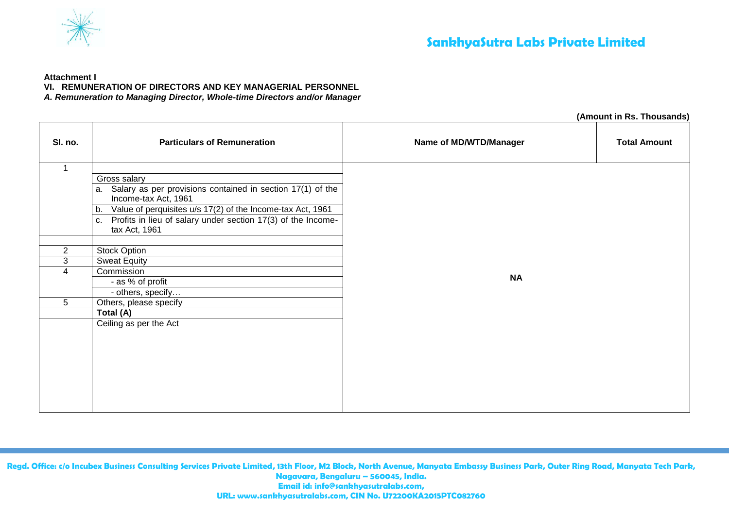

#### **Attachment I**

**VI. REMUNERATION OF DIRECTORS AND KEY MANAGERIAL PERSONNEL**

*A. Remuneration to Managing Director, Whole-time Directors and/or Manager*

|                |                                                                                          |                        | (Amount in Rs. Thousands) |  |  |
|----------------|------------------------------------------------------------------------------------------|------------------------|---------------------------|--|--|
| SI. no.        | <b>Particulars of Remuneration</b>                                                       | Name of MD/WTD/Manager | <b>Total Amount</b>       |  |  |
| 1              |                                                                                          |                        |                           |  |  |
|                | Gross salary                                                                             |                        |                           |  |  |
|                | Salary as per provisions contained in section 17(1) of the<br>a.<br>Income-tax Act, 1961 |                        |                           |  |  |
|                | Value of perquisites u/s 17(2) of the Income-tax Act, 1961<br>b.                         |                        |                           |  |  |
|                | Profits in lieu of salary under section 17(3) of the Income-<br>C.<br>tax Act, 1961      |                        |                           |  |  |
|                |                                                                                          |                        |                           |  |  |
| $\overline{2}$ | Stock Option                                                                             |                        |                           |  |  |
| 3              | <b>Sweat Equity</b>                                                                      |                        |                           |  |  |
| $\overline{4}$ | Commission                                                                               | <b>NA</b>              |                           |  |  |
|                | - as % of profit                                                                         |                        |                           |  |  |
|                | - others, specify                                                                        |                        |                           |  |  |
| 5              | Others, please specify                                                                   |                        |                           |  |  |
|                | Total (A)                                                                                |                        |                           |  |  |
|                | Ceiling as per the Act                                                                   |                        |                           |  |  |
|                |                                                                                          |                        |                           |  |  |
|                |                                                                                          |                        |                           |  |  |
|                |                                                                                          |                        |                           |  |  |
|                |                                                                                          |                        |                           |  |  |
|                |                                                                                          |                        |                           |  |  |
|                |                                                                                          |                        |                           |  |  |
|                |                                                                                          |                        |                           |  |  |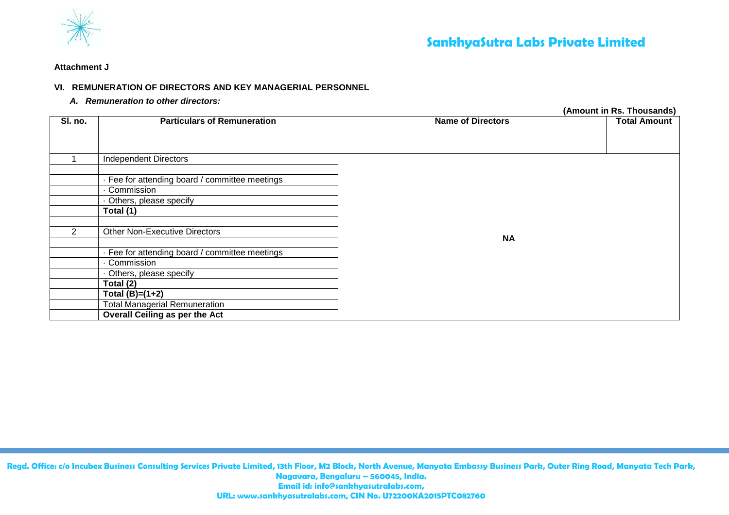

#### **Attachment J**

## **VI. REMUNERATION OF DIRECTORS AND KEY MANAGERIAL PERSONNEL**

*A. Remuneration to other directors:*

**(Amount in Rs. Thousands) SI. no. Particulars of Remuneration Name of Directors Name of Directors** 1 | Independent Directors **NA** · Fee for attending board / committee meetings · Commission · Others, please specify **Total (1)** 2 Other Non-Executive Directors · Fee for attending board / committee meetings · Commission · Others, please specify **Total (2) Total (B)=(1+2)** Total Managerial Remuneration **Overall Ceiling as per the Act**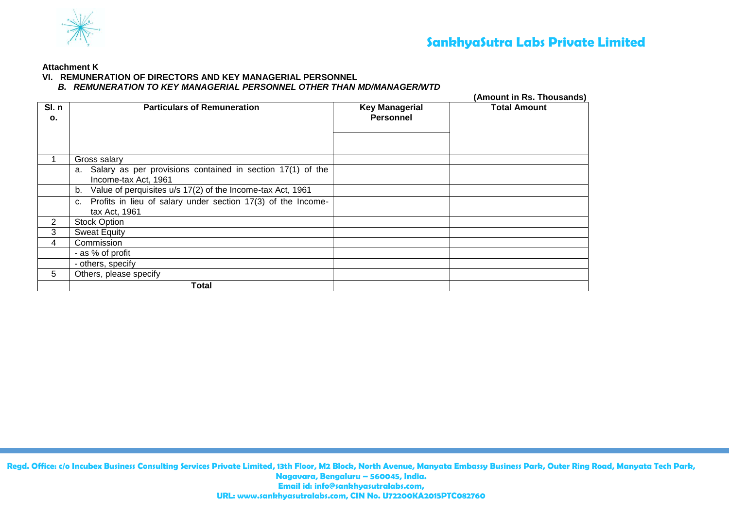

**Attachment K**

## **VI. REMUNERATION OF DIRECTORS AND KEY MANAGERIAL PERSONNEL**

## *B. REMUNERATION TO KEY MANAGERIAL PERSONNEL OTHER THAN MD/MANAGER/WTD*

|                        |                                                                                       | (Amount in Rs. Thousands)                 |                     |  |  |
|------------------------|---------------------------------------------------------------------------------------|-------------------------------------------|---------------------|--|--|
| SI.n<br>$\mathbf{o}$ . | <b>Particulars of Remuneration</b>                                                    | <b>Key Managerial</b><br><b>Personnel</b> | <b>Total Amount</b> |  |  |
|                        | Gross salary                                                                          |                                           |                     |  |  |
|                        | a. Salary as per provisions contained in section 17(1) of the<br>Income-tax Act, 1961 |                                           |                     |  |  |
|                        | b. Value of perquisites u/s 17(2) of the Income-tax Act, 1961                         |                                           |                     |  |  |
|                        | c. Profits in lieu of salary under section 17(3) of the Income-<br>tax Act, 1961      |                                           |                     |  |  |
| 2                      | <b>Stock Option</b>                                                                   |                                           |                     |  |  |
| 3                      | <b>Sweat Equity</b>                                                                   |                                           |                     |  |  |
| 4                      | Commission                                                                            |                                           |                     |  |  |
|                        | - as % of profit                                                                      |                                           |                     |  |  |
|                        | - others, specify                                                                     |                                           |                     |  |  |
| 5                      | Others, please specify                                                                |                                           |                     |  |  |
|                        | Total                                                                                 |                                           |                     |  |  |